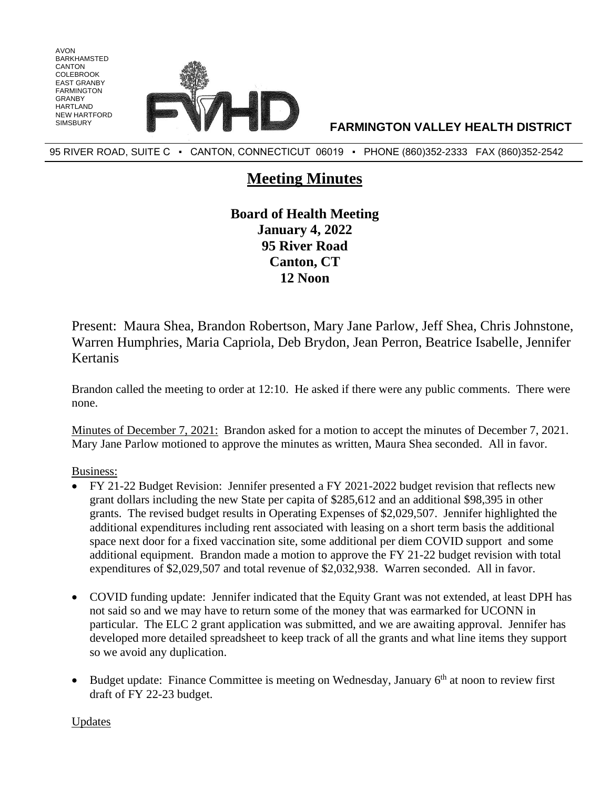

95 RIVER ROAD, SUITE C · CANTON, CONNECTICUT 06019 · PHONE (860)352-2333 FAX (860)352-2542

## **Meeting Minutes**

**Board of Health Meeting January 4, 2022 95 River Road Canton, CT 12 Noon**

Present: Maura Shea, Brandon Robertson, Mary Jane Parlow, Jeff Shea, Chris Johnstone, Warren Humphries, Maria Capriola, Deb Brydon, Jean Perron, Beatrice Isabelle, Jennifer Kertanis

Brandon called the meeting to order at 12:10. He asked if there were any public comments. There were none.

Minutes of December 7, 2021: Brandon asked for a motion to accept the minutes of December 7, 2021. Mary Jane Parlow motioned to approve the minutes as written, Maura Shea seconded. All in favor.

Business:

AVON BARKHAMSTED CANTON COLEBROOK EAST GRANBY FARMINGTON GRANBY HARTI AND NEW HARTFORD

- FY 21-22 Budget Revision: Jennifer presented a FY 2021-2022 budget revision that reflects new grant dollars including the new State per capita of \$285,612 and an additional \$98,395 in other grants. The revised budget results in Operating Expenses of \$2,029,507. Jennifer highlighted the additional expenditures including rent associated with leasing on a short term basis the additional space next door for a fixed vaccination site, some additional per diem COVID support and some additional equipment. Brandon made a motion to approve the FY 21-22 budget revision with total expenditures of \$2,029,507 and total revenue of \$2,032,938. Warren seconded. All in favor.
- COVID funding update: Jennifer indicated that the Equity Grant was not extended, at least DPH has not said so and we may have to return some of the money that was earmarked for UCONN in particular. The ELC 2 grant application was submitted, and we are awaiting approval. Jennifer has developed more detailed spreadsheet to keep track of all the grants and what line items they support so we avoid any duplication.
- Budget update: Finance Committee is meeting on Wednesday, January  $6<sup>th</sup>$  at noon to review first draft of FY 22-23 budget.

Updates